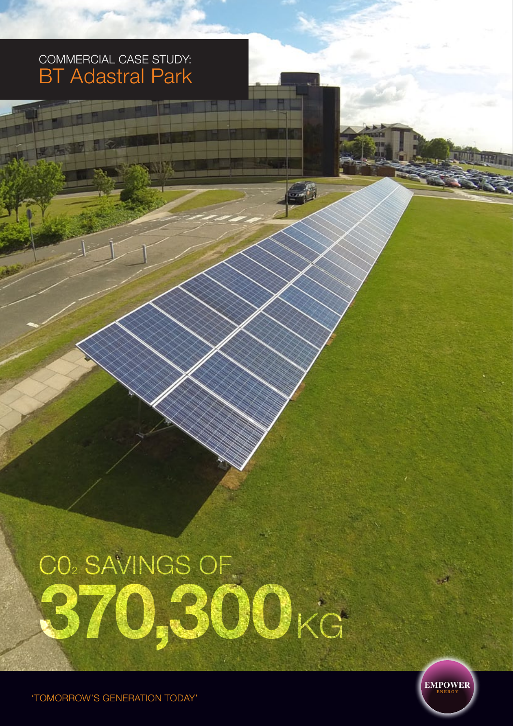## commercial Case Study: BT Adastral Park

# **370,300**kg CO2 SAVINGS OF

 $\mathbb{Z}$ 



'TOMORROW'S GENERATION TODAY'